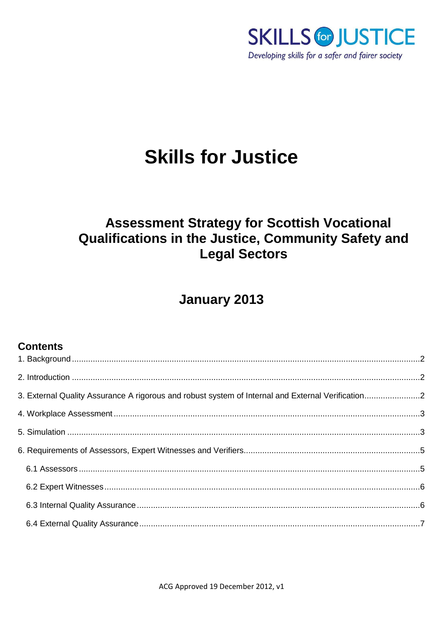

# **Skills for Justice**

# **Assessment Strategy for Scottish Vocational** Qualifications in the Justice, Community Safety and **Legal Sectors**

## **January 2013**

## **Contents**

| 3. External Quality Assurance A rigorous and robust system of Internal and External Verification2 |  |
|---------------------------------------------------------------------------------------------------|--|
|                                                                                                   |  |
|                                                                                                   |  |
|                                                                                                   |  |
|                                                                                                   |  |
|                                                                                                   |  |
|                                                                                                   |  |
|                                                                                                   |  |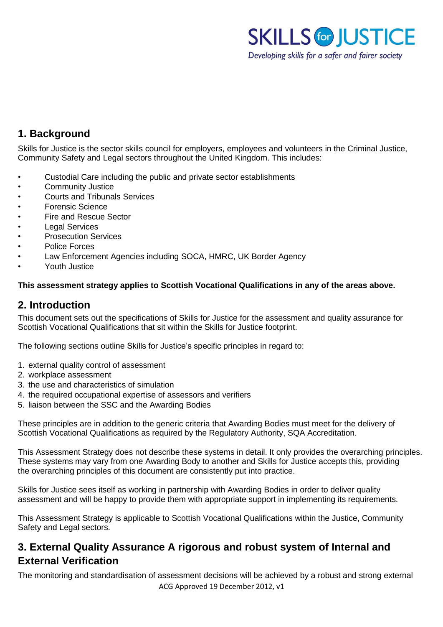

## <span id="page-1-0"></span>**1. Background**

Skills for Justice is the sector skills council for employers, employees and volunteers in the Criminal Justice, Community Safety and Legal sectors throughout the United Kingdom. This includes:

- Custodial Care including the public and private sector establishments
- Community Justice
- Courts and Tribunals Services
- Forensic Science
- Fire and Rescue Sector
- **Legal Services**
- Prosecution Services
- Police Forces
- Law Enforcement Agencies including SOCA, HMRC, UK Border Agency
- Youth Justice

#### **This assessment strategy applies to Scottish Vocational Qualifications in any of the areas above.**

## <span id="page-1-1"></span>**2. Introduction**

This document sets out the specifications of Skills for Justice for the assessment and quality assurance for Scottish Vocational Qualifications that sit within the Skills for Justice footprint.

The following sections outline Skills for Justice's specific principles in regard to:

- 1. external quality control of assessment
- 2. workplace assessment
- 3. the use and characteristics of simulation
- 4. the required occupational expertise of assessors and verifiers
- 5. liaison between the SSC and the Awarding Bodies

These principles are in addition to the generic criteria that Awarding Bodies must meet for the delivery of Scottish Vocational Qualifications as required by the Regulatory Authority, SQA Accreditation.

This Assessment Strategy does not describe these systems in detail. It only provides the overarching principles. These systems may vary from one Awarding Body to another and Skills for Justice accepts this, providing the overarching principles of this document are consistently put into practice.

Skills for Justice sees itself as working in partnership with Awarding Bodies in order to deliver quality assessment and will be happy to provide them with appropriate support in implementing its requirements.

This Assessment Strategy is applicable to Scottish Vocational Qualifications within the Justice, Community Safety and Legal sectors.

## <span id="page-1-2"></span>**3. External Quality Assurance A rigorous and robust system of Internal and External Verification**

ACG Approved 19 December 2012, v1 The monitoring and standardisation of assessment decisions will be achieved by a robust and strong external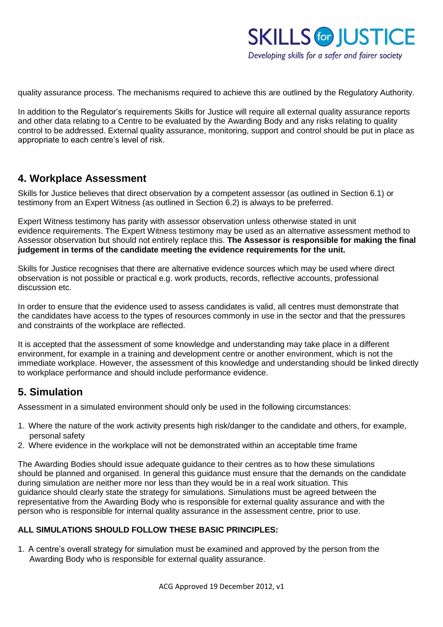

quality assurance process. The mechanisms required to achieve this are outlined by the Regulatory Authority.

In addition to the Regulator's requirements Skills for Justice will require all external quality assurance reports and other data relating to a Centre to be evaluated by the Awarding Body and any risks relating to quality control to be addressed. External quality assurance, monitoring, support and control should be put in place as appropriate to each centre's level of risk.

### <span id="page-2-0"></span>**4. Workplace Assessment**

Skills for Justice believes that direct observation by a competent assessor (as outlined in Section 6.1) or testimony from an Expert Witness (as outlined in Section 6.2) is always to be preferred.

Expert Witness testimony has parity with assessor observation unless otherwise stated in unit evidence requirements. The Expert Witness testimony may be used as an alternative assessment method to Assessor observation but should not entirely replace this. **The Assessor is responsible for making the final judgement in terms of the candidate meeting the evidence requirements for the unit.** 

Skills for Justice recognises that there are alternative evidence sources which may be used where direct observation is not possible or practical e.g. work products, records, reflective accounts, professional discussion etc.

In order to ensure that the evidence used to assess candidates is valid, all centres must demonstrate that the candidates have access to the types of resources commonly in use in the sector and that the pressures and constraints of the workplace are reflected.

It is accepted that the assessment of some knowledge and understanding may take place in a different environment, for example in a training and development centre or another environment, which is not the immediate workplace. However, the assessment of this knowledge and understanding should be linked directly to workplace performance and should include performance evidence.

## <span id="page-2-1"></span>**5. Simulation**

Assessment in a simulated environment should only be used in the following circumstances:

- 1. Where the nature of the work activity presents high risk/danger to the candidate and others, for example, personal safety
- 2. Where evidence in the workplace will not be demonstrated within an acceptable time frame

The Awarding Bodies should issue adequate guidance to their centres as to how these simulations should be planned and organised. In general this guidance must ensure that the demands on the candidate during simulation are neither more nor less than they would be in a real work situation. This guidance should clearly state the strategy for simulations. Simulations must be agreed between the representative from the Awarding Body who is responsible for external quality assurance and with the person who is responsible for internal quality assurance in the assessment centre, prior to use.

#### **ALL SIMULATIONS SHOULD FOLLOW THESE BASIC PRINCIPLES:**

1. A centre's overall strategy for simulation must be examined and approved by the person from the Awarding Body who is responsible for external quality assurance.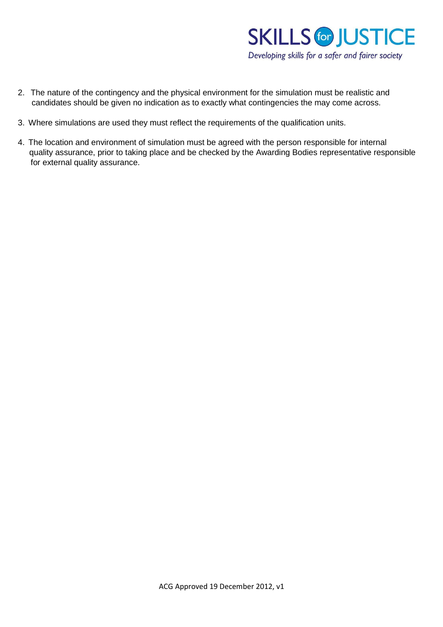

- 2. The nature of the contingency and the physical environment for the simulation must be realistic and candidates should be given no indication as to exactly what contingencies the may come across.
- 3. Where simulations are used they must reflect the requirements of the qualification units.
- 4. The location and environment of simulation must be agreed with the person responsible for internal quality assurance, prior to taking place and be checked by the Awarding Bodies representative responsible for external quality assurance.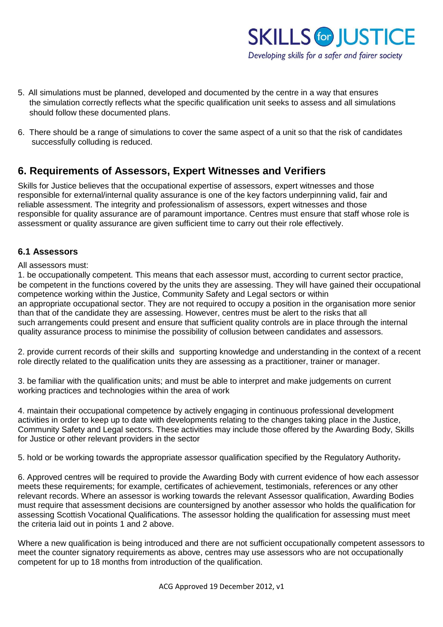

- 5. All simulations must be planned, developed and documented by the centre in a way that ensures the simulation correctly reflects what the specific qualification unit seeks to assess and all simulations should follow these documented plans.
- 6. There should be a range of simulations to cover the same aspect of a unit so that the risk of candidates successfully colluding is reduced.

## <span id="page-4-0"></span>**6. Requirements of Assessors, Expert Witnesses and Verifiers**

Skills for Justice believes that the occupational expertise of assessors, expert witnesses and those responsible for external/internal quality assurance is one of the key factors underpinning valid, fair and reliable assessment. The integrity and professionalism of assessors, expert witnesses and those responsible for quality assurance are of paramount importance. Centres must ensure that staff whose role is assessment or quality assurance are given sufficient time to carry out their role effectively.

#### <span id="page-4-1"></span>**6.1 Assessors**

#### All assessors must:

1. be occupationally competent. This means that each assessor must, according to current sector practice, be competent in the functions covered by the units they are assessing. They will have gained their occupational competence working within the Justice, Community Safety and Legal sectors or within an appropriate occupational sector. They are not required to occupy a position in the organisation more senior than that of the candidate they are assessing. However, centres must be alert to the risks that all such arrangements could present and ensure that sufficient quality controls are in place through the internal quality assurance process to minimise the possibility of collusion between candidates and assessors.

2. provide current records of their skills and supporting knowledge and understanding in the context of a recent role directly related to the qualification units they are assessing as a practitioner, trainer or manager.

3. be familiar with the qualification units; and must be able to interpret and make judgements on current working practices and technologies within the area of work

4. maintain their occupational competence by actively engaging in continuous professional development activities in order to keep up to date with developments relating to the changes taking place in the Justice, Community Safety and Legal sectors. These activities may include those offered by the Awarding Body, Skills for Justice or other relevant providers in the sector

5. hold or be working towards the appropriate assessor qualification specified by the Regulatory Authority.

6. Approved centres will be required to provide the Awarding Body with current evidence of how each assessor meets these requirements; for example, certificates of achievement, testimonials, references or any other relevant records. Where an assessor is working towards the relevant Assessor qualification, Awarding Bodies must require that assessment decisions are countersigned by another assessor who holds the qualification for assessing Scottish Vocational Qualifications. The assessor holding the qualification for assessing must meet the criteria laid out in points 1 and 2 above.

Where a new qualification is being introduced and there are not sufficient occupationally competent assessors to meet the counter signatory requirements as above, centres may use assessors who are not occupationally competent for up to 18 months from introduction of the qualification.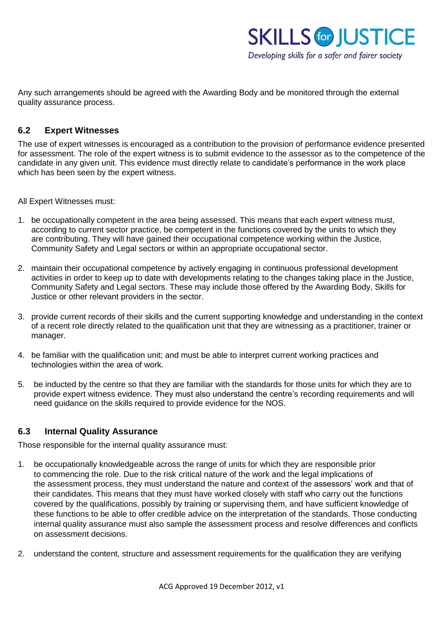

Any such arrangements should be agreed with the Awarding Body and be monitored through the external quality assurance process.

#### <span id="page-5-0"></span>**6.2 Expert Witnesses**

The use of expert witnesses is encouraged as a contribution to the provision of performance evidence presented for assessment. The role of the expert witness is to submit evidence to the assessor as to the competence of the candidate in any given unit. This evidence must directly relate to candidate's performance in the work place which has been seen by the expert witness.

All Expert Witnesses must:

- 1. be occupationally competent in the area being assessed. This means that each expert witness must, according to current sector practice, be competent in the functions covered by the units to which they are contributing. They will have gained their occupational competence working within the Justice, Community Safety and Legal sectors or within an appropriate occupational sector.
- 2. maintain their occupational competence by actively engaging in continuous professional development activities in order to keep up to date with developments relating to the changes taking place in the Justice, Community Safety and Legal sectors. These may include those offered by the Awarding Body, Skills for Justice or other relevant providers in the sector.
- 3. provide current records of their skills and the current supporting knowledge and understanding in the context of a recent role directly related to the qualification unit that they are witnessing as a practitioner, trainer or manager.
- 4. be familiar with the qualification unit; and must be able to interpret current working practices and technologies within the area of work.
- 5. be inducted by the centre so that they are familiar with the standards for those units for which they are to provide expert witness evidence. They must also understand the centre's recording requirements and will need guidance on the skills required to provide evidence for the NOS.

#### <span id="page-5-1"></span>**6.3 Internal Quality Assurance**

Those responsible for the internal quality assurance must:

- 1. be occupationally knowledgeable across the range of units for which they are responsible prior to commencing the role. Due to the risk critical nature of the work and the legal implications of the assessment process, they must understand the nature and context of the assessors' work and that of their candidates. This means that they must have worked closely with staff who carry out the functions covered by the qualifications, possibly by training or supervising them, and have sufficient knowledge of these functions to be able to offer credible advice on the interpretation of the standards. Those conducting internal quality assurance must also sample the assessment process and resolve differences and conflicts on assessment decisions.
- 2. understand the content, structure and assessment requirements for the qualification they are verifying